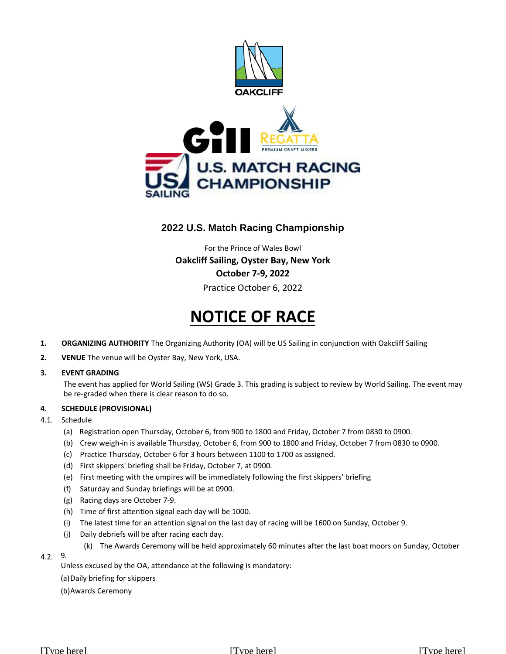

# **2022 U.S. Match Racing Championship**

For the Prince of Wales Bowl **Oakcliff Sailing, Oyster Bay, New York October 7-9, 2022** Practice October 6, 2022

# **NOTICE OF RACE**

- **1. ORGANIZING AUTHORITY** The Organizing Authority (OA) will be US Sailing in conjunction with Oakcliff Sailing
- **2. VENUE** The venue will be Oyster Bay, New York, USA.

# **3. EVENT GRADING**

The event has applied for World Sailing (WS) Grade 3. This grading is subject to review by World Sailing. The event may be re-graded when there is clear reason to do so.

# **4. SCHEDULE (PROVISIONAL)**

# 4.1. Schedule

- (a) Registration open Thursday, October 6, from 900 to 1800 and Friday, October 7 from 0830 to 0900.
- (b) Crew weigh-in is available Thursday, October 6, from 900 to 1800 and Friday, October 7 from 0830 to 0900.
- (c) Practice Thursday, October 6 for 3 hours between 1100 to 1700 as assigned.
- (d) First skippers' briefing shall be Friday, October 7, at 0900.
- (e) First meeting with the umpires will be immediately following the first skippers' briefing
- (f) Saturday and Sunday briefings will be at 0900.
- (g) Racing days are October 7-9.
- (h) Time of first attention signal each day will be 1000.
- (i) The latest time for an attention signal on the last day of racing will be 1600 on Sunday, October 9.
- (j) Daily debriefs will be after racing each day.
	- (k) The Awards Ceremony will be held approximately 60 minutes after the last boat moors on Sunday, October

# 9. 4.2.

Unless excused by the OA, attendance at the following is mandatory:

- (a)Daily briefing for skippers
- (b)Awards Ceremony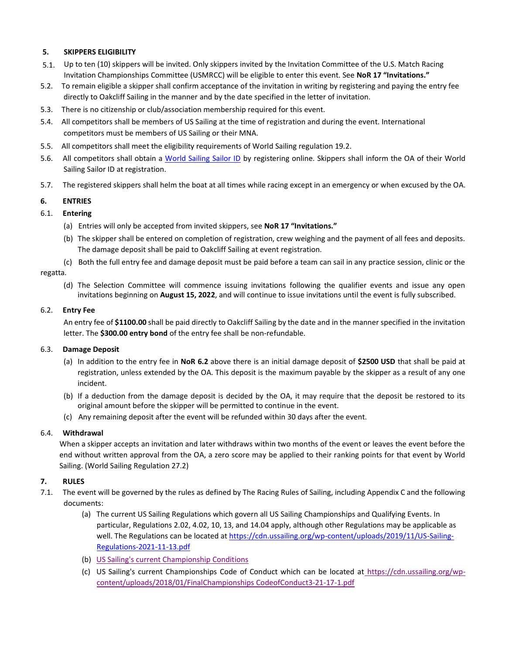#### **SKIPPERS ELIGIBILITY 5.**

- Up to ten (10) skippers will be invited. Only skippers invited by the Invitation Committee of the U.S. Match Racing 5.1.Invitation Championships Committee (USMRCC) will be eligible to enter this event. See **NoR 17 "Invitations."**
- 5.2. To remain eligible a skipper shall confirm acceptance of the invitation in writing by registering and paying the entry fee directly to Oakcliff Sailing in the manner and by the date specified in the letter of invitation.
- 5.3. There is no citizenship or club/association membership required for this event.
- 5.4. All competitors shall be members of US Sailing at the time of registration and during the event. International competitors must be members of US Sailing or their MNA.
- 5.5. All competitors shall meet the eligibility requirements of World Sailing regulation 19.2.
- 5.6. All competitors shall obtain a [World Sailing Sailor ID](https://www.sailing.org/isafsailor) by registering online. Skippers shall inform the OA of their World Sailing Sailor ID at registration.
- 5.7. The registered skippers shall helm the boat at all times while racing except in an emergency or when excused by the OA.

# **6. ENTRIES**

# 6.1. **Entering**

- (a) Entries will only be accepted from invited skippers, see **NoR 17 "Invitations."**
- (b) The skipper shall be entered on completion of registration, crew weighing and the payment of all fees and deposits. The damage deposit shall be paid to Oakcliff Sailing at event registration.
- (c) Both the full entry fee and damage deposit must be paid before a team can sail in any practice session, clinic or the

#### regatta.

(d) The Selection Committee will commence issuing invitations following the qualifier events and issue any open invitations beginning on **August 15, 2022**, and will continue to issue invitations until the event is fully subscribed.

# 6.2. **Entry Fee**

An entry fee of **\$1100.00** shall be paid directly to Oakcliff Sailing by the date and in the manner specified in the invitation letter. The **\$300.00 entry bond** of the entry fee shall be non-refundable.

# 6.3. **Damage Deposit**

- (a) In addition to the entry fee in **NoR 6.2** above there is an initial damage deposit of **\$2500 USD** that shall be paid at registration, unless extended by the OA. This deposit is the maximum payable by the skipper as a result of any one incident.
- (b) If a deduction from the damage deposit is decided by the OA, it may require that the deposit be restored to its original amount before the skipper will be permitted to continue in the event.
- (c) Any remaining deposit after the event will be refunded within 30 days after the event.

# 6.4. **Withdrawal**

When a skipper accepts an invitation and later withdraws within two months of the event or leaves the event before the end without written approval from the OA, a zero score may be applied to their ranking points for that event by World Sailing. (World Sailing Regulation 27.2)

# **7. RULES**

- 7.1. The event will be governed by the rules as defined by The Racing Rules of Sailing, including Appendix C and the following documents:
	- (a) The current US Sailing Regulations which govern all US Sailing Championships and Qualifying Events. In particular, Regulations 2.02, 4.02, 10, 13, and 14.04 apply, although other Regulations may be applicable as well. The Regulations can be located a[t https://cdn.ussailing.org/wp-content/uploads/2019/11/US-Sailing-](https://cdn.ussailing.org/wp-content/uploads/2019/11/US-Sailing-Regulations-2021-11-13.pdf)[Regulations-2021-11-13.pdf](https://cdn.ussailing.org/wp-content/uploads/2019/11/US-Sailing-Regulations-2021-11-13.pdf)
	- (b) [US Sailing's current Championship Conditions](https://www.ussailing.org/competition/resources/championship-conditions/)
	- (c) US Sailing's current Championships Code of Conduct which can be located at [https://cdn.ussailing.org/wp](https://cdn.ussailing.org/wp-content/uploads/2018/01/FinalChampionships_CodeofConduct3-21-17-1.pdf)[content/uploads/2018/01/FinalChampionships CodeofConduct3-21-17-1.pdf](https://cdn.ussailing.org/wp-content/uploads/2018/01/FinalChampionships_CodeofConduct3-21-17-1.pdf)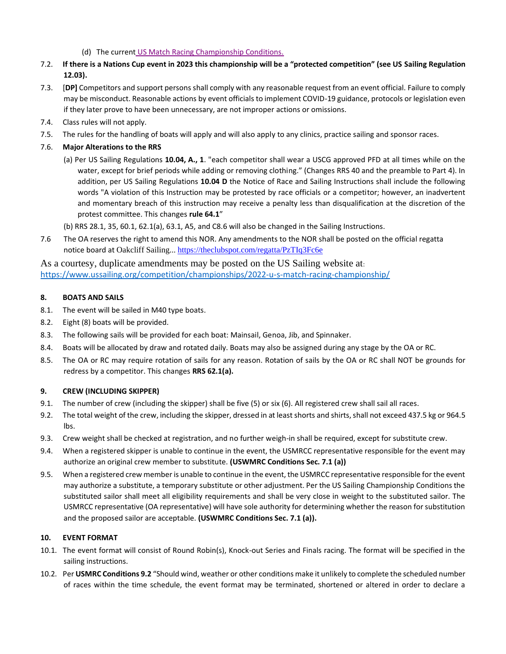- (d) The current [US Match Racing Championship Conditions.](https://www.ussailing.org/wp-content/uploads/2022/01/Championship-Conditions-for-the-USMRC-2022.pdf)
- 7.2. **If there is a Nations Cup event in 2023 this championship will be a "protected competition" (see US Sailing Regulation 12.03).**
- 7.3. [**DP]** Competitors and support persons shall comply with any reasonable request from an event official. Failure to comply may be misconduct. Reasonable actions by event officials to implement COVID-19 guidance, protocols or legislation even if they later prove to have been unnecessary, are not improper actions or omissions.
- 7.4. Class rules will not apply.
- 7.5. The rules for the handling of boats will apply and will also apply to any clinics, practice sailing and sponsor races.
- 7.6. **Major Alterations to the RRS**
	- (a) Per US Sailing Regulations **10.04, A., 1**. "each competitor shall wear a USCG approved PFD at all times while on the water, except for brief periods while adding or removing clothing." (Changes RRS 40 and the preamble to Part 4). In addition, per US Sailing Regulations **10.04 D** the Notice of Race and Sailing Instructions shall include the following words "A violation of this Instruction may be protested by race officials or a competitor; however, an inadvertent and momentary breach of this instruction may receive a penalty less than disqualification at the discretion of the protest committee. This changes **rule 64.1**"
	- (b) RRS 28.1, 35, 60.1, 62.1(a), 63.1, A5, and C8.6 will also be changed in the Sailing Instructions.
- 7.6 The OA reserves the right to amend this NOR. Any amendments to the NOR shall be posted on the official regatta notice board at Oakcliff Sailing... <https://theclubspot.com/regatta/PzTIq3Fc6e>

As a courtesy, duplicate amendments may be posted on the US Sailing website at: <https://www.ussailing.org/competition/championships/2022-u-s-match-racing-championship/>

# **8. BOATS AND SAILS**

- 8.1. The event will be sailed in M40 type boats.
- 8.2. Eight (8) boats will be provided.
- 8.3. The following sails will be provided for each boat: Mainsail, Genoa, Jib, and Spinnaker.
- 8.4. Boats will be allocated by draw and rotated daily. Boats may also be assigned during any stage by the OA or RC.
- 8.5. The OA or RC may require rotation of sails for any reason. Rotation of sails by the OA or RC shall NOT be grounds for redress by a competitor. This changes **RRS 62.1(a).**

# **9. CREW (INCLUDING SKIPPER)**

- 9.1. The number of crew (including the skipper) shall be five (5) or six (6). All registered crew shall sail all races.
- 9.2. The total weight of the crew, including the skipper, dressed in at least shorts and shirts, shall not exceed 437.5 kg or 964.5 lbs.
- 9.3. Crew weight shall be checked at registration, and no further weigh-in shall be required, except for substitute crew.
- 9.4. When a registered skipper is unable to continue in the event, the USMRCC representative responsible for the event may authorize an original crew member to substitute. **(USWMRC Conditions Sec. 7.1 (a))**
- 9.5. When a registered crew member is unable to continue in the event, the USMRCC representative responsible for the event may authorize a substitute, a temporary substitute or other adjustment. Per the US Sailing Championship Conditions the substituted sailor shall meet all eligibility requirements and shall be very close in weight to the substituted sailor. The USMRCC representative (OA representative) will have sole authority for determining whether the reason for substitution and the proposed sailor are acceptable. **(USWMRC Conditions Sec. 7.1 (a)).**

# **10. EVENT FORMAT**

- 10.1. The event format will consist of Round Robin(s), Knock-out Series and Finals racing. The format will be specified in the sailing instructions.
- 10.2. Per **USMRC Conditions 9.2** "Should wind, weather or other conditions make it unlikely to complete the scheduled number of races within the time schedule, the event format may be terminated, shortened or altered in order to declare a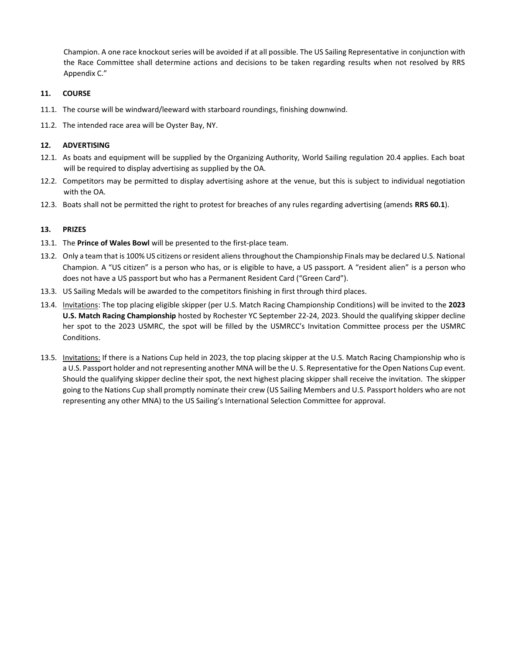Champion. A one race knockout series will be avoided if at all possible. The US Sailing Representative in conjunction with the Race Committee shall determine actions and decisions to be taken regarding results when not resolved by RRS Appendix C."

# **11. COURSE**

- 11.1. The course will be windward/leeward with starboard roundings, finishing downwind.
- 11.2. The intended race area will be Oyster Bay, NY.

# **12. ADVERTISING**

- 12.1. As boats and equipment will be supplied by the Organizing Authority, World Sailing regulation 20.4 applies. Each boat will be required to display advertising as supplied by the OA.
- 12.2. Competitors may be permitted to display advertising ashore at the venue, but this is subject to individual negotiation with the OA.
- 12.3. Boats shall not be permitted the right to protest for breaches of any rules regarding advertising (amends **RRS 60.1**).

# **13. PRIZES**

- 13.1. The **Prince of Wales Bowl** will be presented to the first-place team.
- 13.2. Only a team that is 100% US citizens or resident aliens throughout the Championship Finals may be declared U.S. National Champion. A "US citizen" is a person who has, or is eligible to have, a US passport. A "resident alien" is a person who does not have a US passport but who has a Permanent Resident Card ("Green Card").
- 13.3. US Sailing Medals will be awarded to the competitors finishing in first through third places.
- 13.4. Invitations: The top placing eligible skipper (per U.S. Match Racing Championship Conditions) will be invited to the **2023 U.S. Match Racing Championship** hosted by Rochester YC September 22-24, 2023. Should the qualifying skipper decline her spot to the 2023 USMRC, the spot will be filled by the USMRCC's Invitation Committee process per the USMRC Conditions.
- 13.5. Invitations: If there is a Nations Cup held in 2023, the top placing skipper at the U.S. Match Racing Championship who is a U.S. Passport holder and not representing another MNA will be the U. S. Representative for the Open Nations Cup event. Should the qualifying skipper decline their spot, the next highest placing skipper shall receive the invitation. The skipper going to the Nations Cup shall promptly nominate their crew (US Sailing Members and U.S. Passport holders who are not representing any other MNA) to the US Sailing's International Selection Committee for approval.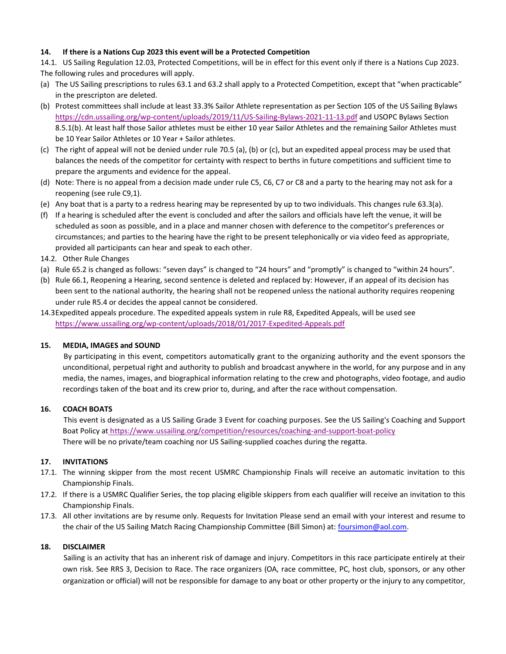# **14. If there is a Nations Cup 2023 this event will be a Protected Competition**

14.1. US Sailing Regulation 12.03, Protected Competitions, will be in effect for this event only if there is a Nations Cup 2023. The following rules and procedures will apply.

- (a) The US Sailing prescriptions to rules 63.1 and 63.2 shall apply to a Protected Competition, except that "when practicable" in the prescripton are deleted.
- (b) Protest committees shall include at least 33.3% Sailor Athlete representation as per Section 105 of the US Sailing Bylaws <https://cdn.ussailing.org/wp-content/uploads/2019/11/US-Sailing-Bylaws-2021-11-13.pdf> and USOPC Bylaws Section 8.5.1(b). At least half those Sailor athletes must be either 10 year Sailor Athletes and the remaining Sailor Athletes must be 10 Year Sailor Athletes or 10 Year + Sailor athletes.
- (c) The right of appeal will not be denied under rule 70.5 (a), (b) or (c), but an expedited appeal process may be used that balances the needs of the competitor for certainty with respect to berths in future competitions and sufficient time to prepare the arguments and evidence for the appeal.
- (d) Note: There is no appeal from a decision made under rule C5, C6, C7 or C8 and a party to the hearing may not ask for a reopening (see rule C9,1).
- (e) Any boat that is a party to a redress hearing may be represented by up to two individuals. This changes rule 63.3(a).
- (f) If a hearing is scheduled after the event is concluded and after the sailors and officials have left the venue, it will be scheduled as soon as possible, and in a place and manner chosen with deference to the competitor's preferences or circumstances; and parties to the hearing have the right to be present telephonically or via video feed as appropriate, provided all participants can hear and speak to each other.
- 14.2. Other Rule Changes
- (a) Rule 65.2 is changed as follows: "seven days" is changed to "24 hours" and "promptly" is changed to "within 24 hours".
- (b) Rule 66.1, Reopening a Hearing, second sentence is deleted and replaced by: However, if an appeal of its decision has been sent to the national authority, the hearing shall not be reopened unless the national authority requires reopening under rule R5.4 or decides the appeal cannot be considered.

14.3Expedited appeals procedure. The expedited appeals system in rule R8, Expedited Appeals, will be used see <https://www.ussailing.org/wp-content/uploads/2018/01/2017-Expedited-Appeals.pdf>

# **15. MEDIA, IMAGES and SOUND**

By participating in this event, competitors automatically grant to the organizing authority and the event sponsors the unconditional, perpetual right and authority to publish and broadcast anywhere in the world, for any purpose and in any media, the names, images, and biographical information relating to the crew and photographs, video footage, and audio recordings taken of the boat and its crew prior to, during, and after the race without compensation.

# **16. COACH BOATS**

This event is designated as a US Sailing Grade 3 Event for coaching purposes. See the US Sailing's Coaching and Support Boat Policy at <https://www.ussailing.org/competition/resources/coaching-and-support-boat-policy> There will be no private/team coaching nor US Sailing-supplied coaches during the regatta.

# **17. INVITATIONS**

- 17.1. The winning skipper from the most recent USMRC Championship Finals will receive an automatic invitation to this Championship Finals.
- 17.2. If there is a USMRC Qualifier Series, the top placing eligible skippers from each qualifier will receive an invitation to this Championship Finals.
- 17.3. All other invitations are by resume only. Requests for Invitation Please send an email with your interest and resume to the chair of the US Sailing Match Racing Championship Committee (Bill Simon) at: [foursimon@aol.com.](mailto:foursimon@aol.com)

# **18. DISCLAIMER**

Sailing is an activity that has an inherent risk of damage and injury. Competitors in this race participate entirely at their own risk. See RRS 3, Decision to Race. The race organizers (OA, race committee, PC, host club, sponsors, or any other organization or official) will not be responsible for damage to any boat or other property or the injury to any competitor,